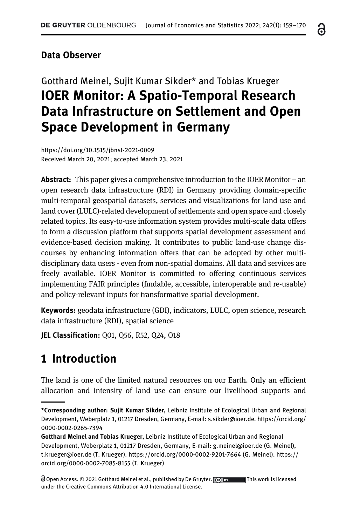#### Data Observer

# Gotthard Meinel, Sujit Kumar Sikder\* and Tobias Krueger IOER Monitor: A Spatio-Temporal Research Data Infrastructure on Settlement and Open Space Development in Germany

<https://doi.org/10.1515/jbnst-2021-0009> Received March 20, 2021; accepted March 23, 2021

**Abstract:** This paper gives a comprehensive introduction to the IOER Monitor – an open research data infrastructure (RDI) in Germany providing domain-specific multi-temporal geospatial datasets, services and visualizations for land use and land cover (LULC)-related development of settlements and open space and closely related topics. Its easy-to-use information system provides multi-scale data offers to form a discussion platform that supports spatial development assessment and evidence-based decision making. It contributes to public land-use change discourses by enhancing information offers that can be adopted by other multidisciplinary data users - even from non-spatial domains. All data and services are freely available. IOER Monitor is committed to offering continuous services implementing FAIR principles (findable, accessible, interoperable and re-usable) and policy-relevant inputs for transformative spatial development.

Keywords: geodata infrastructure (GDI), indicators, LULC, open science, research data infrastructure (RDI), spatial science

JEL Classification: Q01, Q56, R52, Q24, O18

### 1 Introduction

The land is one of the limited natural resources on our Earth. Only an efficient allocation and intensity of land use can ensure our livelihood supports and ႕

<sup>\*</sup>Corresponding author: Sujit Kumar Sikder, Leibniz Institute of Ecological Urban and Regional Development, Weberplatz 1, 01217 Dresden, Germany, E-mail: [s.sikder@ioer.de](mailto:s.sikder@ioer.de). [https://orcid.org/](https://orcid.org/0000-0002-0265-7394) [0000-0002-0265-7394](https://orcid.org/0000-0002-0265-7394)

Gotthard Meinel and Tobias Krueger, Leibniz Institute of Ecological Urban and Regional Development, Weberplatz 1, 01217 Dresden, Germany, E-mail: [g.meinel@ioer.de](mailto:g.meinel@ioer.de) (G. Meinel), [t.krueger@ioer.de](mailto:t.krueger@ioer.de) (T. Krueger).<https://orcid.org/0000-0002-9201-7664> (G. Meinel). [https://](https://orcid.org/0000-0002-7085-8155) [orcid.org/0000-0002-7085-8155](https://orcid.org/0000-0002-7085-8155) (T. Krueger)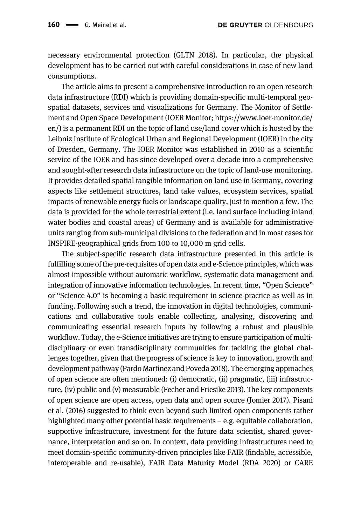necessary environmental protection [\(GLTN 2018\)](#page-10-0). In particular, the physical development has to be carried out with careful considerations in case of new land consumptions.

The article aims to present a comprehensive introduction to an open research data infrastructure (RDI) which is providing domain-specific multi-temporal geospatial datasets, services and visualizations for Germany. The Monitor of Settlement and Open Space Development (IOER Monitor; [https://www.ioer-monitor.de/](https://www.ioer-monitor.de/en/) [en/](https://www.ioer-monitor.de/en/)) is a permanent RDI on the topic of land use/land cover which is hosted by the Leibniz Institute of Ecological Urban and Regional Development (IOER) in the city of Dresden, Germany. The IOER Monitor was established in 2010 as a scientific service of the IOER and has since developed over a decade into a comprehensive and sought-after research data infrastructure on the topic of land-use monitoring. It provides detailed spatial tangible information on land use in Germany, covering aspects like settlement structures, land take values, ecosystem services, spatial impacts of renewable energy fuels or landscape quality, just to mention a few. The data is provided for the whole terrestrial extent (i.e. land surface including inland water bodies and coastal areas) of Germany and is available for administrative units ranging from sub-municipal divisions to the federation and in most cases for INSPIRE-geographical grids from 100 to 10,000 m grid cells.

The subject-specific research data infrastructure presented in this article is fulfilling some of the pre-requisites of open data and e-Science principles, which was almost impossible without automatic workflow, systematic data management and integration of innovative information technologies. In recent time, "Open Science" or "Science 4.0" is becoming a basic requirement in science practice as well as in funding. Following such a trend, the innovation in digital technologies, communications and collaborative tools enable collecting, analysing, discovering and communicating essential research inputs by following a robust and plausible workflow. Today, the e-Science initiatives are trying to ensure participation of multidisciplinary or even transdisciplinary communities for tackling the global challenges together, given that the progress of science is key to innovation, growth and development pathway [\(Pardo Martínez and Poveda 2018\)](#page-11-0). The emerging approaches of open science are often mentioned: (i) democratic, (ii) pragmatic, (iii) infrastructure, (iv) public and (v) measurable [\(Fecher and Friesike 2013](#page-10-1)). The key components of open science are open access, open data and open source [\(Jomier 2017\)](#page-11-1). [Pisani](#page-11-2) [et al. \(2016\)](#page-11-2) suggested to think even beyond such limited open components rather highlighted many other potential basic requirements – e.g. equitable collaboration, supportive infrastructure, investment for the future data scientist, shared governance, interpretation and so on. In context, data providing infrastructures need to meet domain-specific community-driven principles like FAIR (findable, accessible, interoperable and re-usable), FAIR Data Maturity Model ([RDA 2020](#page-11-3)) or CARE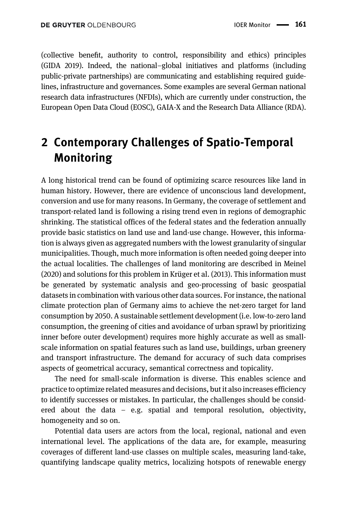(collective benefit, authority to control, responsibility and ethics) principles [\(GIDA 2019](#page-10-2)). Indeed, the national–global initiatives and platforms (including public-private partnerships) are communicating and establishing required guidelines, infrastructure and governances. Some examples are several German national research data infrastructures (NFDIs), which are currently under construction, the European Open Data Cloud (EOSC), GAIA-X and the Research Data Alliance (RDA).

# 2 Contemporary Challenges of Spatio-Temporal Monitoring

A long historical trend can be found of optimizing scarce resources like land in human history. However, there are evidence of unconscious land development, conversion and use for many reasons. In Germany, the coverage of settlement and transport-related land is following a rising trend even in regions of demographic shrinking. The statistical offices of the federal states and the federation annually provide basic statistics on land use and land-use change. However, this information is always given as aggregated numbers with the lowest granularity of singular municipalities. Though, much more information is often needed going deeper into the actual localities. The challenges of land monitoring are described in [Meinel](#page-11-4) [\(2020\)](#page-11-4) and solutions for this problem in [Krüger et al. \(2013\).](#page-11-5) This information must be generated by systematic analysis and geo-processing of basic geospatial datasets in combination with various other data sources. For instance, the national climate protection plan of Germany aims to achieve the net-zero target for land consumption by 2050. A sustainable settlement development (i.e. low-to-zero land consumption, the greening of cities and avoidance of urban sprawl by prioritizing inner before outer development) requires more highly accurate as well as smallscale information on spatial features such as land use, buildings, urban greenery and transport infrastructure. The demand for accuracy of such data comprises aspects of geometrical accuracy, semantical correctness and topicality.

The need for small-scale information is diverse. This enables science and practice to optimize related measures and decisions, but it also increases efficiency to identify successes or mistakes. In particular, the challenges should be considered about the data  $-$  e.g. spatial and temporal resolution, objectivity, homogeneity and so on.

Potential data users are actors from the local, regional, national and even international level. The applications of the data are, for example, measuring coverages of different land-use classes on multiple scales, measuring land-take, quantifying landscape quality metrics, localizing hotspots of renewable energy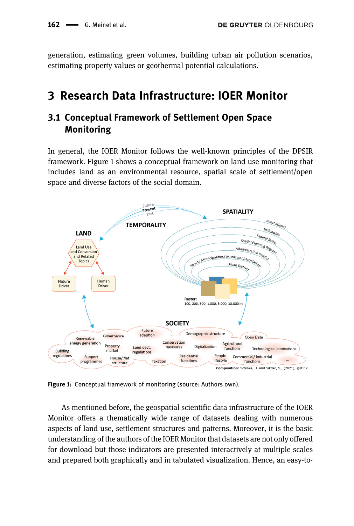generation, estimating green volumes, building urban air pollution scenarios, estimating property values or geothermal potential calculations.

# 3 Research Data Infrastructure: IOER Monitor

### 3.1 Conceptual Framework of Settlement Open Space Monitoring

In general, the IOER Monitor follows the well-known principles of the DPSIR framework. [Figure 1](#page-3-0) shows a conceptual framework on land use monitoring that includes land as an environmental resource, spatial scale of settlement/open space and diverse factors of the social domain.



<span id="page-3-0"></span>Figure 1: Conceptual framework of monitoring (source: Authors own).

As mentioned before, the geospatial scientific data infrastructure of the IOER Monitor offers a thematically wide range of datasets dealing with numerous aspects of land use, settlement structures and patterns. Moreover, it is the basic understanding of the authors of the IOER Monitor that datasets are not only offered for download but those indicators are presented interactively at multiple scales and prepared both graphically and in tabulated visualization. Hence, an easy-to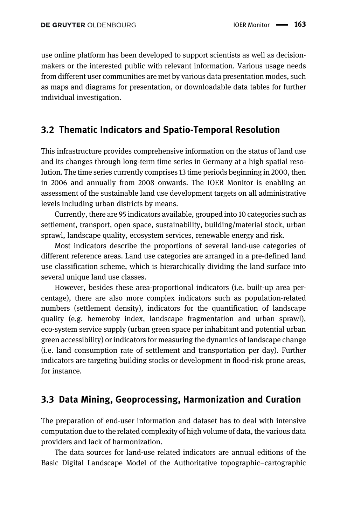use online platform has been developed to support scientists as well as decisionmakers or the interested public with relevant information. Various usage needs from different user communities are met by various data presentation modes, such as maps and diagrams for presentation, or downloadable data tables for further individual investigation.

### 3.2 Thematic Indicators and Spatio-Temporal Resolution

This infrastructure provides comprehensive information on the status of land use and its changes through long-term time series in Germany at a high spatial resolution. The time series currently comprises 13 time periods beginning in 2000, then in 2006 and annually from 2008 onwards. The IOER Monitor is enabling an assessment of the sustainable land use development targets on all administrative levels including urban districts by means.

Currently, there are 95 indicators available, grouped into 10 categories such as settlement, transport, open space, sustainability, building/material stock, urban sprawl, landscape quality, ecosystem services, renewable energy and risk.

Most indicators describe the proportions of several land-use categories of different reference areas. Land use categories are arranged in a pre-defined land use classification scheme, which is hierarchically dividing the land surface into several unique land use classes.

However, besides these area-proportional indicators (i.e. built-up area percentage), there are also more complex indicators such as population-related numbers (settlement density), indicators for the quantification of landscape quality (e.g. hemeroby index, landscape fragmentation and urban sprawl), eco-system service supply (urban green space per inhabitant and potential urban green accessibility) or indicators for measuring the dynamics of landscape change (i.e. land consumption rate of settlement and transportation per day). Further indicators are targeting building stocks or development in flood-risk prone areas, for instance.

### 3.3 Data Mining, Geoprocessing, Harmonization and Curation

The preparation of end-user information and dataset has to deal with intensive computation due to the related complexity of high volume of data, the various data providers and lack of harmonization.

The data sources for land-use related indicators are annual editions of the Basic Digital Landscape Model of the Authoritative topographic–cartographic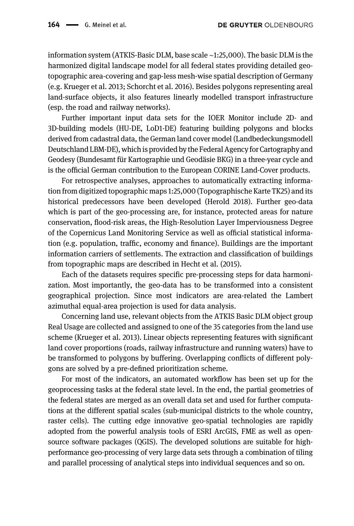information system (ATKIS-Basic DLM, base scale ∼1:25,000). The basic DLM is the harmonized digital landscape model for all federal states providing detailed geotopographic area-covering and gap-less mesh-wise spatial description of Germany (e.g. [Krueger et al. 2013;](#page-11-5) [Schorcht et al. 2016](#page-11-6)). Besides polygons representing areal land-surface objects, it also features linearly modelled transport infrastructure (esp. the road and railway networks).

Further important input data sets for the IOER Monitor include 2D- and 3D-building models (HU-DE, LoD1-DE) featuring building polygons and blocks derived from cadastral data, the German land cover model (Landbedeckungsmodell Deutschland LBM-DE), which is provided by the Federal Agency for Cartography and Geodesy (Bundesamt für Kartographie und Geodäsie BKG) in a three-year cycle and is the official German contribution to the European CORINE Land-Cover products.

For retrospective analyses, approaches to automatically extracting information from digitized topographic maps 1:25,000 (Topographische Karte TK25) and its historical predecessors have been developed [\(Herold 2018\)](#page-11-7). Further geo-data which is part of the geo-processing are, for instance, protected areas for nature conservation, flood-risk areas, the High-Resolution Layer Imperviousness Degree of the Copernicus Land Monitoring Service as well as official statistical information (e.g. population, traffic, economy and finance). Buildings are the important information carriers of settlements. The extraction and classification of buildings from topographic maps are described in [Hecht et al. \(2015\)](#page-11-8).

Each of the datasets requires specific pre-processing steps for data harmonization. Most importantly, the geo-data has to be transformed into a consistent geographical projection. Since most indicators are area-related the Lambert azimuthal equal-area projection is used for data analysis.

Concerning land use, relevant objects from the ATKIS Basic DLM object group Real Usage are collected and assigned to one of the 35 categories from the land use scheme ([Krueger et al. 2013](#page-11-5)). Linear objects representing features with significant land cover proportions (roads, railway infrastructure and running waters) have to be transformed to polygons by buffering. Overlapping conflicts of different polygons are solved by a pre-defined prioritization scheme.

For most of the indicators, an automated workflow has been set up for the geoprocessing tasks at the federal state level. In the end, the partial geometries of the federal states are merged as an overall data set and used for further computations at the different spatial scales (sub-municipal districts to the whole country, raster cells). The cutting edge innovative geo-spatial technologies are rapidly adopted from the powerful analysis tools of ESRI ArcGIS, FME as well as opensource software packages (QGIS). The developed solutions are suitable for highperformance geo-processing of very large data sets through a combination of tiling and parallel processing of analytical steps into individual sequences and so on.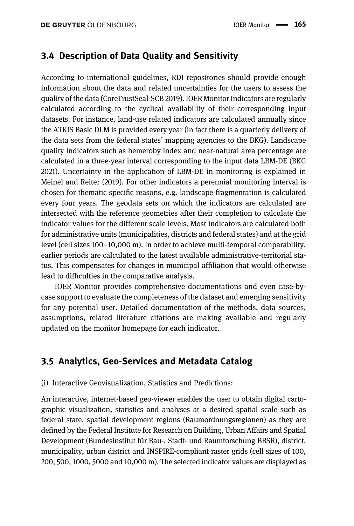### 3.4 Description of Data Quality and Sensitivity

According to international guidelines, RDI repositories should provide enough information about the data and related uncertainties for the users to assess the quality of the data ([CoreTrustSeal-SCB 2019](#page-10-3)). IOER Monitor Indicators are regularly calculated according to the cyclical availability of their corresponding input datasets. For instance, land-use related indicators are calculated annually since the ATKIS Basic DLM is provided every year (in fact there is a quarterly delivery of the data sets from the federal states' mapping agencies to the BKG). Landscape quality indicators such as hemeroby index and near-natural area percentage are calculated in a three-year interval corresponding to the input data LBM-DE [\(BKG](#page-10-4) [2021\)](#page-10-4). Uncertainty in the application of LBM-DE in monitoring is explained in [Meinel and Reiter \(2019\)](#page-11-9). For other indicators a perennial monitoring interval is chosen for thematic specific reasons, e.g. landscape fragmentation is calculated every four years. The geodata sets on which the indicators are calculated are intersected with the reference geometries after their completion to calculate the indicator values for the different scale levels. Most indicators are calculated both for administrative units (municipalities, districts and federal states) and at the grid level (cell sizes 100–10,000 m). In order to achieve multi-temporal comparability, earlier periods are calculated to the latest available administrative-territorial status. This compensates for changes in municipal affiliation that would otherwise lead to difficulties in the comparative analysis.

IOER Monitor provides comprehensive documentations and even case-bycase support to evaluate the completeness of the dataset and emerging sensitivity for any potential user. Detailed documentation of the methods, data sources, assumptions, related literature citations are making available and regularly updated on the monitor homepage for each indicator.

### 3.5 Analytics, Geo-Services and Metadata Catalog

#### (i) Interactive Geovisualization, Statistics and Predictions:

An interactive, internet-based geo-viewer enables the user to obtain digital cartographic visualization, statistics and analyses at a desired spatial scale such as federal state, spatial development regions (Raumordnungsregionen) as they are defined by the Federal Institute for Research on Building, Urban Affairs and Spatial Development (Bundesinstitut für Bau-, Stadt- und Raumforschung BBSR), district, municipality, urban district and INSPIRE-compliant raster grids (cell sizes of 100, 200, 500, 1000, 5000 and 10,000 m). The selected indicator values are displayed as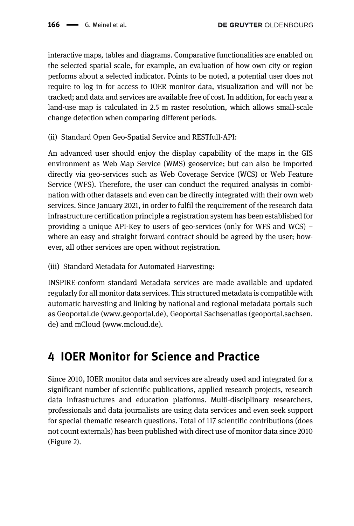interactive maps, tables and diagrams. Comparative functionalities are enabled on the selected spatial scale, for example, an evaluation of how own city or region performs about a selected indicator. Points to be noted, a potential user does not require to log in for access to IOER monitor data, visualization and will not be tracked; and data and services are available free of cost. In addition, for each year a land-use map is calculated in 2.5 m raster resolution, which allows small-scale change detection when comparing different periods.

(ii) Standard Open Geo-Spatial Service and RESTfull-API:

An advanced user should enjoy the display capability of the maps in the GIS environment as Web Map Service (WMS) geoservice; but can also be imported directly via geo-services such as Web Coverage Service (WCS) or Web Feature Service (WFS). Therefore, the user can conduct the required analysis in combination with other datasets and even can be directly integrated with their own web services. Since January 2021, in order to fulfil the requirement of the research data infrastructure certification principle a registration system has been established for providing a unique API-Key to users of geo-services (only for WFS and WCS) – where an easy and straight forward contract should be agreed by the user; however, all other services are open without registration.

(iii) Standard Metadata for Automated Harvesting:

INSPIRE-conform standard Metadata services are made available and updated regularly for all monitor data services. This structured metadata is compatible with automatic harvesting and linking by national and regional metadata portals such as Geoportal.de [\(www.geoportal.de](http://www.geoportal.de)), Geoportal Sachsenatlas (geoportal.sachsen. de) and mCloud [\(www.mcloud.de\)](http://www.mcloud.de).

# 4 IOER Monitor for Science and Practice

Since 2010, IOER monitor data and services are already used and integrated for a significant number of scientific publications, applied research projects, research data infrastructures and education platforms. Multi-disciplinary researchers, professionals and data journalists are using data services and even seek support for special thematic research questions. Total of 117 scientific contributions (does not count externals) has been published with direct use of monitor data since 2010 ([Figure 2](#page-8-0)).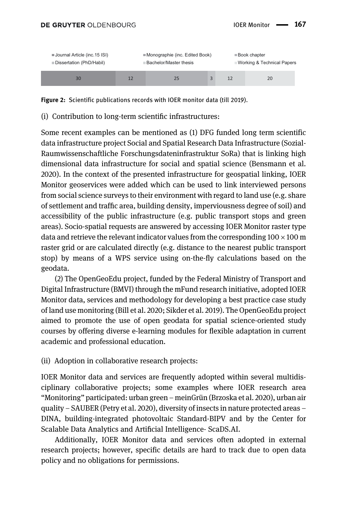

<span id="page-8-0"></span>Figure 2: Scientific publications records with IOER monitor data (till 2019).

(i) Contribution to long-term scientific infrastructures:

Some recent examples can be mentioned as (1) DFG funded long term scientific data infrastructure project Social and Spatial Research Data Infrastructure (Sozial-Raumwissenschaftliche Forschungsdateninfrastruktur SoRa) that is linking high dimensional data infrastructure for social and spatial science [\(Bensmann et al.](#page-10-5) [2020](#page-10-5)). In the context of the presented infrastructure for geospatial linking, IOER Monitor geoservices were added which can be used to link interviewed persons from social science surveys to their environment with regard to land use (e.g. share of settlement and traffic area, building density, imperviousness degree of soil) and accessibility of the public infrastructure (e.g. public transport stops and green areas). Socio-spatial requests are answered by accessing IOER Monitor raster type data and retrieve the relevant indicator values from the corresponding  $100 \times 100$  m raster grid or are calculated directly (e.g. distance to the nearest public transport stop) by means of a WPS service using on-the-fly calculations based on the geodata.

(2) The OpenGeoEdu project, funded by the Federal Ministry of Transport and Digital Infrastructure (BMVI) through the mFund research initiative, adopted IOER Monitor data, services and methodology for developing a best practice case study of land use monitoring [\(Bill et al. 2020;](#page-10-6) [Sikder et al. 2019\)](#page-11-10). The OpenGeoEdu project aimed to promote the use of open geodata for spatial science-oriented study courses by offering diverse e-learning modules for flexible adaptation in current academic and professional education.

(ii) Adoption in collaborative research projects:

IOER Monitor data and services are frequently adopted within several multidisciplinary collaborative projects; some examples where IOER research area "Monitoring" participated: urban green – meinGrün [\(Brzoska et al. 2020\)](#page-10-7), urban air quality – SAUBER [\(Petry et al. 2020\)](#page-11-11), diversity of insects in nature protected areas – DINA, building-integrated photovoltaic Standard-BIPV and by the Center for Scalable Data Analytics and Artificial Intelligence- ScaDS.AI.

Additionally, IOER Monitor data and services often adopted in external research projects; however, specific details are hard to track due to open data policy and no obligations for permissions.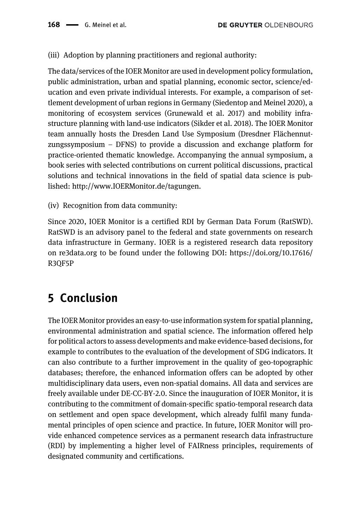(iii) Adoption by planning practitioners and regional authority:

The data/services of the IOER Monitor are used in development policy formulation, public administration, urban and spatial planning, economic sector, science/education and even private individual interests. For example, a comparison of settlement development of urban regions in Germany [\(Siedentop and Meinel 2020\)](#page-11-12), a monitoring of ecosystem services [\(Grunewald et al. 2017\)](#page-11-13) and mobility infrastructure planning with land-use indicators [\(Sikder et al. 2018\)](#page-11-14). The IOER Monitor team annually hosts the Dresden Land Use Symposium (Dresdner Flächennutzungssymposium – DFNS) to provide a discussion and exchange platform for practice-oriented thematic knowledge. Accompanying the annual symposium, a book series with selected contributions on current political discussions, practical solutions and technical innovations in the field of spatial data science is published: [http://www.IOERMonitor.de/tagungen.](http://www.IOERMonitor.de/tagungen)

(iv) Recognition from data community:

Since 2020, IOER Monitor is a certified RDI by German Data Forum (RatSWD). RatSWD is an advisory panel to the federal and state governments on research data infrastructure in Germany. IOER is a registered research data repository on [re3data.org](http://re3data.org) to be found under the following DOI: [https://doi.org/10.17616/](https://doi.org/10.17616/R3QF5P) [R3QF5P](https://doi.org/10.17616/R3QF5P)

# 5 Conclusion

The IOER Monitor provides an easy-to-use information system for spatial planning, environmental administration and spatial science. The information offered help for political actors to assess developments and make evidence-based decisions, for example to contributes to the evaluation of the development of SDG indicators. It can also contribute to a further improvement in the quality of geo-topographic databases; therefore, the enhanced information offers can be adopted by other multidisciplinary data users, even non-spatial domains. All data and services are freely available under DE-CC-BY-2.0. Since the inauguration of IOER Monitor, it is contributing to the commitment of domain-specific spatio-temporal research data on settlement and open space development, which already fulfil many fundamental principles of open science and practice. In future, IOER Monitor will provide enhanced competence services as a permanent research data infrastructure (RDI) by implementing a higher level of FAIRness principles, requirements of designated community and certifications.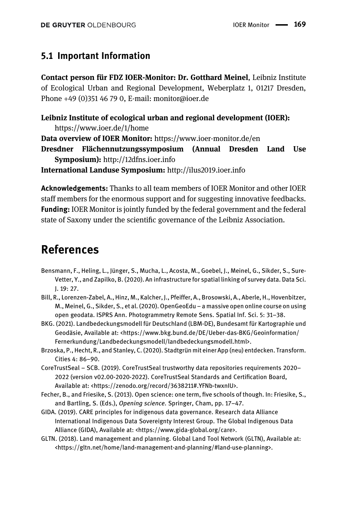### 5.1 Important Information

Contact person für FDZ IOER-Monitor: Dr. Gotthard Meinel, Leibniz Institute of Ecological Urban and Regional Development, Weberplatz 1, 01217 Dresden, Phone +49 (0)351 46 79 0, E-mail:<monitor@ioer.de>

#### Leibniz Institute of ecological urban and regional development (IOER): [https://www.ioer.de/1/home](https://www.ioer.de/1/home/)

Data overview of IOER Monitor: [https://www.ioer-monitor.de/en](https://www.ioer-monitor.de/en/)

Dresdner Flächennutzungssymposium (Annual Dresden Land Use Symposium): [http://12dfns.ioer.info](http://12dfns.ioer.info/)

International Landuse Symposium: [http://ilus2019.ioer.info](http://ilus2019.ioer.info/)

Acknowledgements: Thanks to all team members of IOER Monitor and other IOER staff members for the enormous support and for suggesting innovative feedbacks. Funding: IOER Monitor is jointly funded by the federal government and the federal state of Saxony under the scientific governance of the Leibniz Association.

## References

- <span id="page-10-5"></span>Bensmann, F., Heling, L., Jünger, S., Mucha, L., Acosta, M., Goebel, J., Meinel, G., Sikder, S., Sure-Vetter, Y., and Zapilko, B. (2020). An infrastructure for spatial linking of survey data. Data Sci. J. 19: 27.
- <span id="page-10-6"></span>Bill, R., Lorenzen-Zabel, A., Hinz, M., Kalcher, J., Pfeiffer, A., Brosowski, A., Aberle, H., Hovenbitzer, M., Meinel, G., Sikder, S., et al. (2020). OpenGeoEdu – a massive open online course on using open geodata. ISPRS Ann. Photogrammetry Remote Sens. Spatial Inf. Sci. 5: 31–38.
- <span id="page-10-4"></span>BKG. (2021). Landbedeckungsmodell für Deutschland (LBM-DE), Bundesamt für Kartographie und Geodäsie, Available at: <[https://www.bkg.bund.de/DE/Ueber-das-BKG/Geoinformation/](https://www.bkg.bund.de/DE/Ueber-das-BKG/Geoinformation/Fernerkundung/Landbedeckungsmodell/landbedeckungsmodell.html) [Fernerkundung/Landbedeckungsmodell/landbedeckungsmodell.html](https://www.bkg.bund.de/DE/Ueber-das-BKG/Geoinformation/Fernerkundung/Landbedeckungsmodell/landbedeckungsmodell.html)>.
- <span id="page-10-7"></span>Brzoska, P., Hecht, R., and Stanley, C. (2020). Stadtgrün mit einer App (neu) entdecken. Transform. Cities 4: 86–90.
- <span id="page-10-3"></span>CoreTrustSeal – SCB. (2019). CoreTrustSeal trustworthy data repositories requirements 2020– 2022 (version v02.00-2020-2022). CoreTrustSeal Standards and Certification Board, Available at: [<https://zenodo.org/record/3638211#.YFNb-twxnIU>](https://zenodo.org/record/3638211#.YFNb-twxnIU).
- <span id="page-10-1"></span>Fecher, B., and Friesike, S. (2013). Open science: one term, five schools of though. In: Friesike, S., and Bartling, S. (Eds.), Opening science. Springer, Cham, pp. 17–47.
- <span id="page-10-2"></span>GIDA. (2019). CARE principles for indigenous data governance. Research data Alliance International Indigenous Data Sovereignty Interest Group. The Global Indigenous Data Alliance (GIDA), Available at: <[https://www.gida-global.org/care>](https://www.gida-global.org/care).
- <span id="page-10-0"></span>GLTN. (2018). Land management and planning. Global Land Tool Network (GLTN), Available at: <<https://gltn.net/home/land-management-and-planning/#land-use-planning>>.